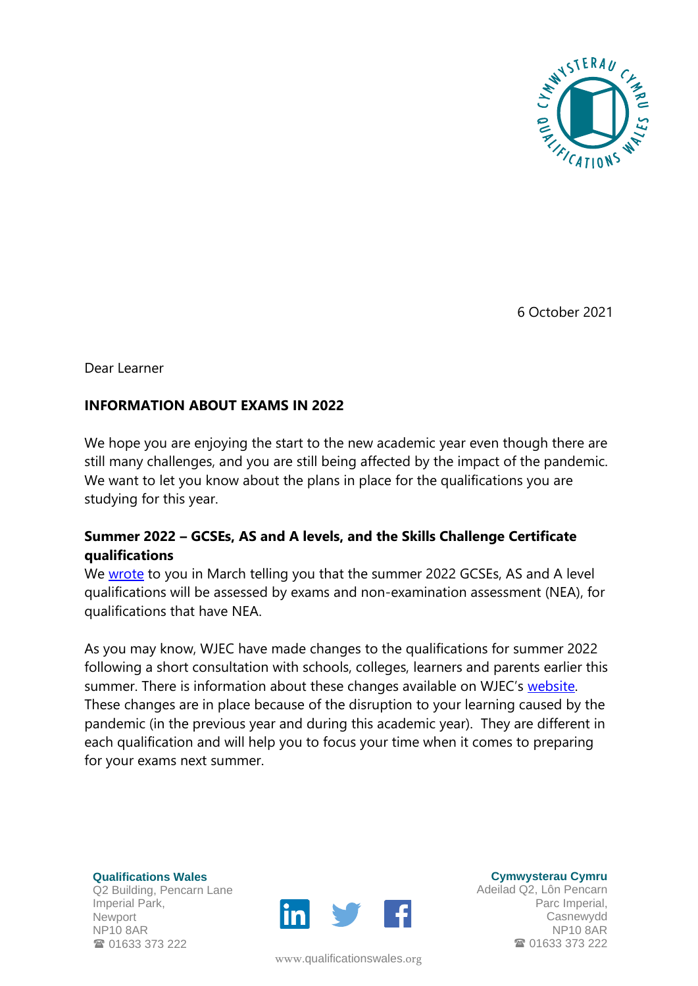

6 October 2021

Dear Learner

## **INFORMATION ABOUT EXAMS IN 2022**

We hope you are enjoying the start to the new academic year even though there are still many challenges, and you are still being affected by the impact of the pandemic. We want to let you know about the plans in place for the qualifications you are studying for this year.

## **Summer 2022 – GCSEs, AS and A levels, and the Skills Challenge Certificate qualifications**

We [wrote](https://www.qualificationswales.org/media/7266/letter-to-learners-23-march-final.pdf) to you in March telling you that the summer 2022 GCSEs, AS and A level qualifications will be assessed by exams and non-examination assessment (NEA), for qualifications that have NEA.

As you may know, WJEC have made changes to the qualifications for summer 2022 following a short consultation with schools, colleges, learners and parents earlier this summer. There is information about these changes available on WJEC's [website.](https://www.wjec.co.uk/home/2022-everything-you-need-to-know/) These changes are in place because of the disruption to your learning caused by the pandemic (in the previous year and during this academic year). They are different in each qualification and will help you to focus your time when it comes to preparing for your exams next summer.

**Qualifications Wales** Q2 Building, Pencarn Lane Imperial Park, Newport NP10 8AR **雷 01633 373 222** 



www.[qualificationswales](http://qualificationswales.org/Splash).org

**Cymwysterau Cymru**

Adeilad Q2, Lôn Pencarn Parc Imperial, Casnewydd NP10 8AR ■ 01633 373 222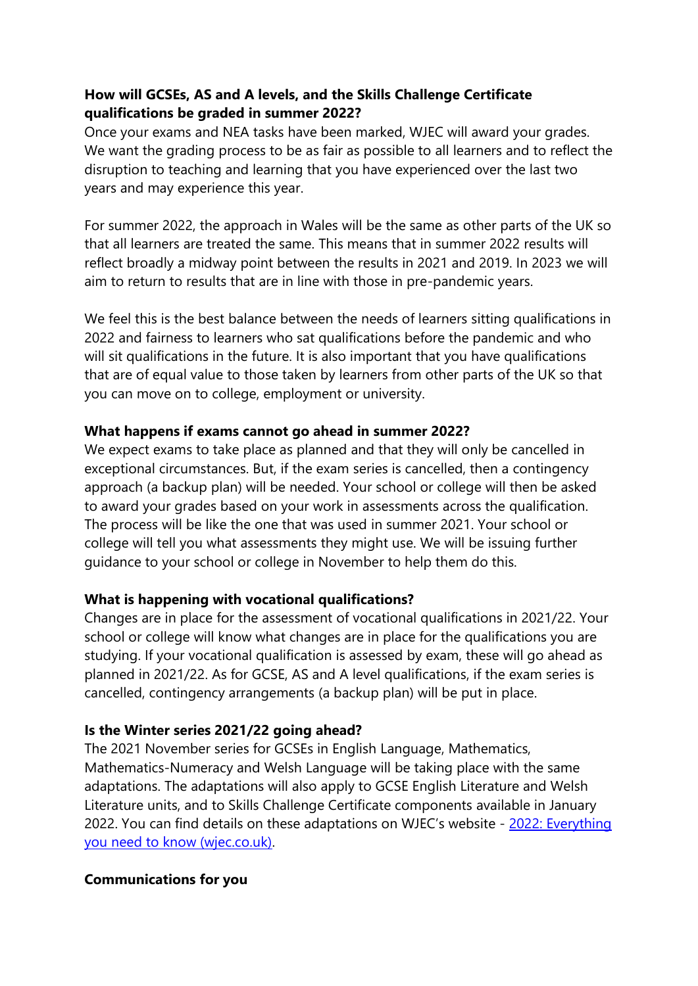# **How will GCSEs, AS and A levels, and the Skills Challenge Certificate qualifications be graded in summer 2022?**

Once your exams and NEA tasks have been marked, WJEC will award your grades. We want the grading process to be as fair as possible to all learners and to reflect the disruption to teaching and learning that you have experienced over the last two years and may experience this year.

For summer 2022, the approach in Wales will be the same as other parts of the UK so that all learners are treated the same. This means that in summer 2022 results will reflect broadly a midway point between the results in 2021 and 2019. In 2023 we will aim to return to results that are in line with those in pre-pandemic years.

We feel this is the best balance between the needs of learners sitting qualifications in 2022 and fairness to learners who sat qualifications before the pandemic and who will sit qualifications in the future. It is also important that you have qualifications that are of equal value to those taken by learners from other parts of the UK so that you can move on to college, employment or university.

#### **What happens if exams cannot go ahead in summer 2022?**

We expect exams to take place as planned and that they will only be cancelled in exceptional circumstances. But, if the exam series is cancelled, then a contingency approach (a backup plan) will be needed. Your school or college will then be asked to award your grades based on your work in assessments across the qualification. The process will be like the one that was used in summer 2021. Your school or college will tell you what assessments they might use. We will be issuing further guidance to your school or college in November to help them do this.

#### **What is happening with vocational qualifications?**

Changes are in place for the assessment of vocational qualifications in 2021/22. Your school or college will know what changes are in place for the qualifications you are studying. If your vocational qualification is assessed by exam, these will go ahead as planned in 2021/22. As for GCSE, AS and A level qualifications, if the exam series is cancelled, contingency arrangements (a backup plan) will be put in place.

## **Is the Winter series 2021/22 going ahead?**

The 2021 November series for GCSEs in English Language, Mathematics, Mathematics-Numeracy and Welsh Language will be taking place with the same adaptations. The adaptations will also apply to GCSE English Literature and Welsh Literature units, and to Skills Challenge Certificate components available in January 2022. You can find details on these adaptations on WJEC's website - [2022: Everything](https://www.wjec.co.uk/home/2022-everything-you-need-to-know/)  [you need to know \(wjec.co.uk\).](https://www.wjec.co.uk/home/2022-everything-you-need-to-know/)

#### **Communications for you**